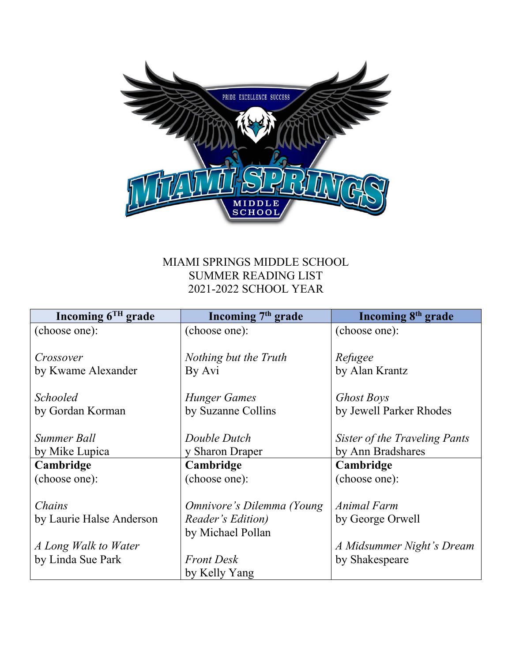

### MIAMI SPRINGS MIDDLE SCHOOL SUMMER READING LIST 2021-2022 SCHOOL YEAR

| Incoming $6^{TH}$ grade  | Incoming $7th$ grade      | Incoming 8 <sup>th</sup> grade |
|--------------------------|---------------------------|--------------------------------|
| (choose one):            | (choose one):             | (choose one):                  |
|                          |                           |                                |
| Crossover                | Nothing but the Truth     | Refugee                        |
| by Kwame Alexander       | By Avi                    | by Alan Krantz                 |
|                          |                           |                                |
| <b>Schooled</b>          | Hunger Games              | <b>Ghost Boys</b>              |
| by Gordan Korman         | by Suzanne Collins        | by Jewell Parker Rhodes        |
|                          |                           |                                |
| Summer Ball              | Double Dutch              | Sister of the Traveling Pants  |
| by Mike Lupica           | y Sharon Draper           | by Ann Bradshares              |
| Cambridge                | Cambridge                 | Cambridge                      |
| (choose one):            | (choose one):             | (choose one):                  |
|                          |                           |                                |
| Chains                   | Omnivore's Dilemma (Young | Animal Farm                    |
| by Laurie Halse Anderson | Reader's Edition)         | by George Orwell               |
|                          | by Michael Pollan         |                                |
| A Long Walk to Water     |                           | A Midsummer Night's Dream      |
| by Linda Sue Park        | <b>Front Desk</b>         | by Shakespeare                 |
|                          | by Kelly Yang             |                                |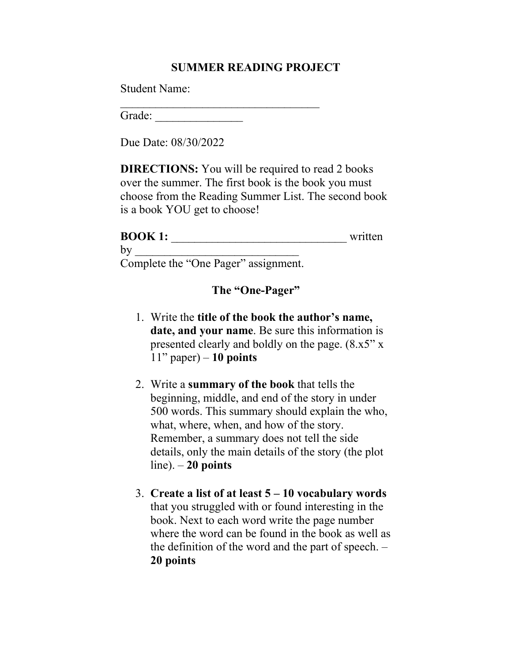#### **SUMMER READING PROJECT**

Student Name:

 $\overline{\phantom{a}}$ Grade:

Due Date: 08/30/2022

**DIRECTIONS:** You will be required to read 2 books over the summer. The first book is the book you must choose from the Reading Summer List. The second book is a book YOU get to choose!

## **BOOK 1:** \_\_\_\_\_\_\_\_\_\_\_\_\_\_\_\_\_\_\_\_\_\_\_\_\_\_\_\_\_\_ written by  $\Box$ Complete the "One Pager" assignment.

#### **The "One-Pager"**

- 1. Write the **title of the book the author's name, date, and your name**. Be sure this information is presented clearly and boldly on the page. (8.x5" x 11" paper) – **10 points**
- 2. Write a **summary of the book** that tells the beginning, middle, and end of the story in under 500 words. This summary should explain the who, what, where, when, and how of the story. Remember, a summary does not tell the side details, only the main details of the story (the plot line). – **20 points**
- 3. **Create a list of at least 5 – 10 vocabulary words** that you struggled with or found interesting in the book. Next to each word write the page number where the word can be found in the book as well as the definition of the word and the part of speech. – **20 points**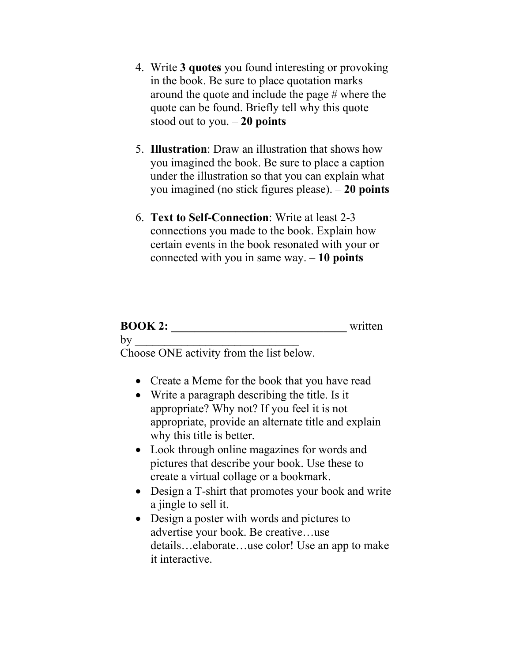- 4. Write **3 quotes** you found interesting or provoking in the book. Be sure to place quotation marks around the quote and include the page # where the quote can be found. Briefly tell why this quote stood out to you. – **20 points**
- 5. **Illustration**: Draw an illustration that shows how you imagined the book. Be sure to place a caption under the illustration so that you can explain what you imagined (no stick figures please). – **20 points**
- 6. **Text to Self-Connection**: Write at least 2-3 connections you made to the book. Explain how certain events in the book resonated with your or connected with you in same way. – **10 points**

# **BOOK 2:** written  $by$

Choose ONE activity from the list below.

- Create a Meme for the book that you have read
- Write a paragraph describing the title. Is it appropriate? Why not? If you feel it is not appropriate, provide an alternate title and explain why this title is better.
- Look through online magazines for words and pictures that describe your book. Use these to create a virtual collage or a bookmark.
- Design a T-shirt that promotes your book and write a jingle to sell it.
- Design a poster with words and pictures to advertise your book. Be creative…use details…elaborate…use color! Use an app to make it interactive.